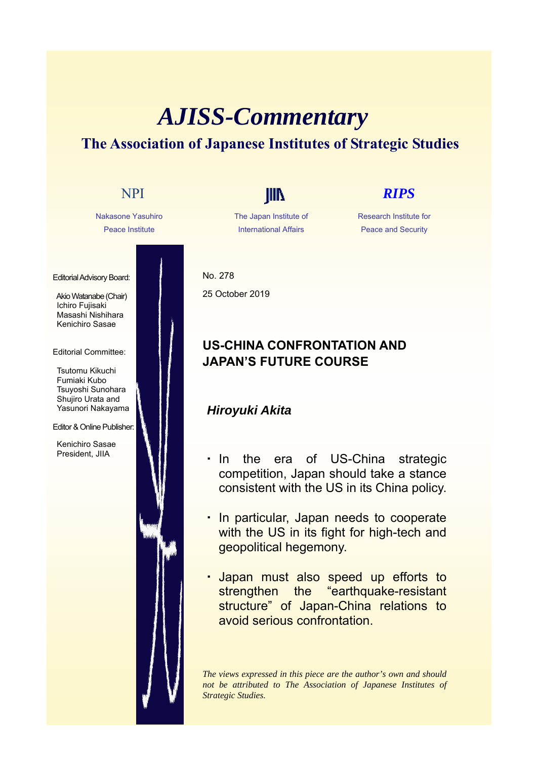# *AJISS-Commentary* **The Association of Japanese Institutes of Strategic Studies**



The Japan Institute of International Affairs

Research Institute for Peace and Security

No. 278 25 October 2019

## **US-CHINA CONFRONTATION AND JAPAN'S FUTURE COURSE**

### *Hiroyuki Akita*

- ・ In the era of US-China strategic competition, Japan should take a stance consistent with the US in its China policy.
- ・ In particular, Japan needs to cooperate with the US in its fight for high-tech and geopolitical hegemony.
- ・ Japan must also speed up efforts to strengthen the "earthquake-resistant structure" of Japan-China relations to avoid serious confrontation.

*The views expressed in this piece are the author's own and should not be attributed to The Association of Japanese Institutes of Strategic Studies.*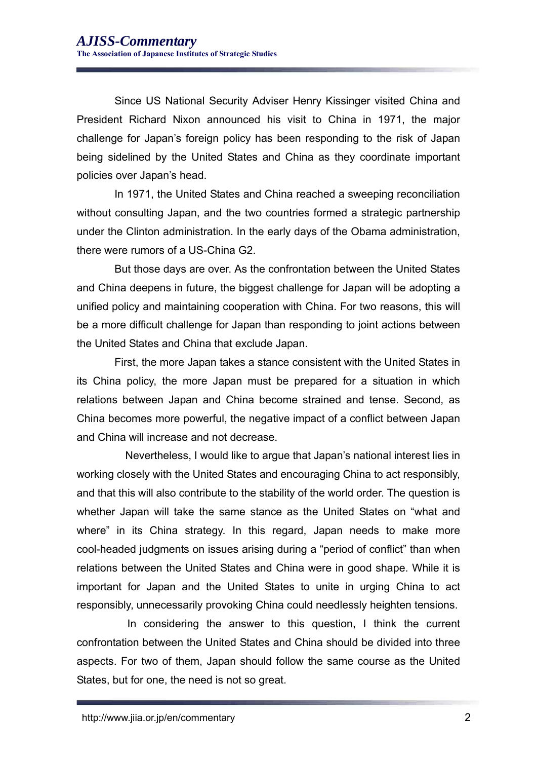Since US National Security Adviser Henry Kissinger visited China and President Richard Nixon announced his visit to China in 1971, the major challenge for Japan's foreign policy has been responding to the risk of Japan being sidelined by the United States and China as they coordinate important policies over Japan's head.

In 1971, the United States and China reached a sweeping reconciliation without consulting Japan, and the two countries formed a strategic partnership under the Clinton administration. In the early days of the Obama administration, there were rumors of a US-China G2.

But those days are over. As the confrontation between the United States and China deepens in future, the biggest challenge for Japan will be adopting a unified policy and maintaining cooperation with China. For two reasons, this will be a more difficult challenge for Japan than responding to joint actions between the United States and China that exclude Japan.

First, the more Japan takes a stance consistent with the United States in its China policy, the more Japan must be prepared for a situation in which relations between Japan and China become strained and tense. Second, as China becomes more powerful, the negative impact of a conflict between Japan and China will increase and not decrease.

Nevertheless, I would like to argue that Japan's national interest lies in working closely with the United States and encouraging China to act responsibly, and that this will also contribute to the stability of the world order. The question is whether Japan will take the same stance as the United States on "what and where" in its China strategy. In this regard, Japan needs to make more cool-headed judgments on issues arising during a "period of conflict" than when relations between the United States and China were in good shape. While it is important for Japan and the United States to unite in urging China to act responsibly, unnecessarily provoking China could needlessly heighten tensions.

In considering the answer to this question, I think the current confrontation between the United States and China should be divided into three aspects. For two of them, Japan should follow the same course as the United States, but for one, the need is not so great.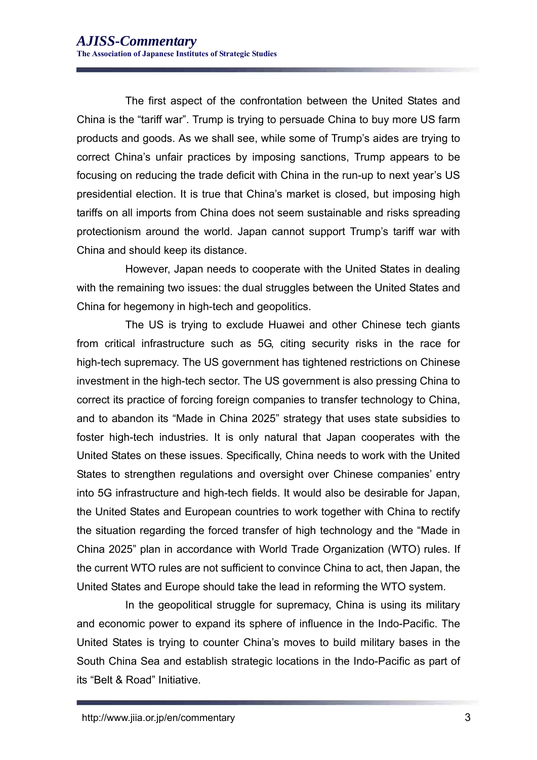The first aspect of the confrontation between the United States and China is the "tariff war". Trump is trying to persuade China to buy more US farm products and goods. As we shall see, while some of Trump's aides are trying to correct China's unfair practices by imposing sanctions, Trump appears to be focusing on reducing the trade deficit with China in the run-up to next year's US presidential election. It is true that China's market is closed, but imposing high tariffs on all imports from China does not seem sustainable and risks spreading protectionism around the world. Japan cannot support Trump's tariff war with China and should keep its distance.

However, Japan needs to cooperate with the United States in dealing with the remaining two issues: the dual struggles between the United States and China for hegemony in high-tech and geopolitics.

The US is trying to exclude Huawei and other Chinese tech giants from critical infrastructure such as 5G, citing security risks in the race for high-tech supremacy. The US government has tightened restrictions on Chinese investment in the high-tech sector. The US government is also pressing China to correct its practice of forcing foreign companies to transfer technology to China, and to abandon its "Made in China 2025" strategy that uses state subsidies to foster high-tech industries. It is only natural that Japan cooperates with the United States on these issues. Specifically, China needs to work with the United States to strengthen regulations and oversight over Chinese companies' entry into 5G infrastructure and high-tech fields. It would also be desirable for Japan, the United States and European countries to work together with China to rectify the situation regarding the forced transfer of high technology and the "Made in China 2025" plan in accordance with World Trade Organization (WTO) rules. If the current WTO rules are not sufficient to convince China to act, then Japan, the United States and Europe should take the lead in reforming the WTO system.

In the geopolitical struggle for supremacy, China is using its military and economic power to expand its sphere of influence in the Indo-Pacific. The United States is trying to counter China's moves to build military bases in the South China Sea and establish strategic locations in the Indo-Pacific as part of its "Belt & Road" Initiative.